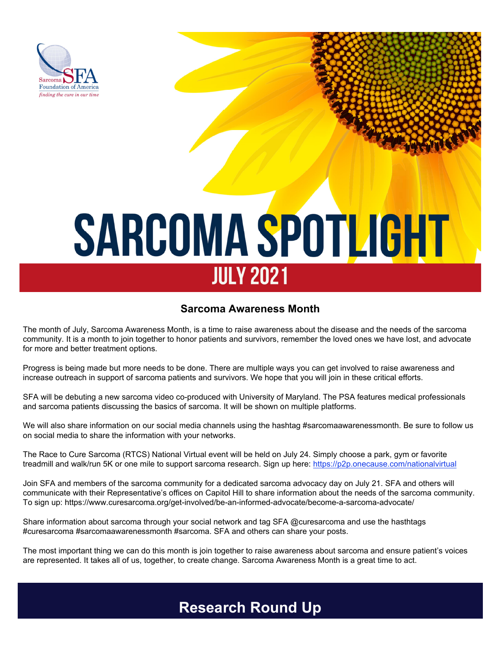

# **SARCOMA SPOTLIGHT JULY 2021**

#### **Sarcoma Awareness Month**

The month of July, Sarcoma Awareness Month, is a time to raise awareness about the disease and the needs of the sarcoma community. It is a month to join together to honor patients and survivors, remember the loved ones we have lost, and advocate for more and better treatment options.

Progress is being made but more needs to be done. There are multiple ways you can get involved to raise awareness and increase outreach in support of sarcoma patients and survivors. We hope that you will join in these critical efforts.

SFA will be debuting a new sarcoma video co-produced with University of Maryland. The PSA features medical professionals and sarcoma patients discussing the basics of sarcoma. It will be shown on multiple platforms.

We will also share information on our social media channels using the hashtag #sarcomaawarenessmonth. Be sure to follow us on social media to share the information with your networks.

The Race to Cure Sarcoma (RTCS) National Virtual event will be held on July 24. Simply choose a park, gym or favorite treadmill and walk/run 5K or one mile to support sarcoma research. Sign up here: https://p2p.onecause.com/nationalvirtual

Join SFA and members of the sarcoma community for a dedicated sarcoma advocacy day on July 21. SFA and others will communicate with their Representative's offices on Capitol Hill to share information about the needs of the sarcoma community. To sign up: https://www.curesarcoma.org/get-involved/be-an-informed-advocate/become-a-sarcoma-advocate/

Share information about sarcoma through your social network and tag SFA @curesarcoma and use the hasthtags #curesarcoma #sarcomaawarenessmonth #sarcoma. SFA and others can share your posts.

The most important thing we can do this month is join together to raise awareness about sarcoma and ensure patient's voices are represented. It takes all of us, together, to create change. Sarcoma Awareness Month is a great time to act.

## **Research Round Up**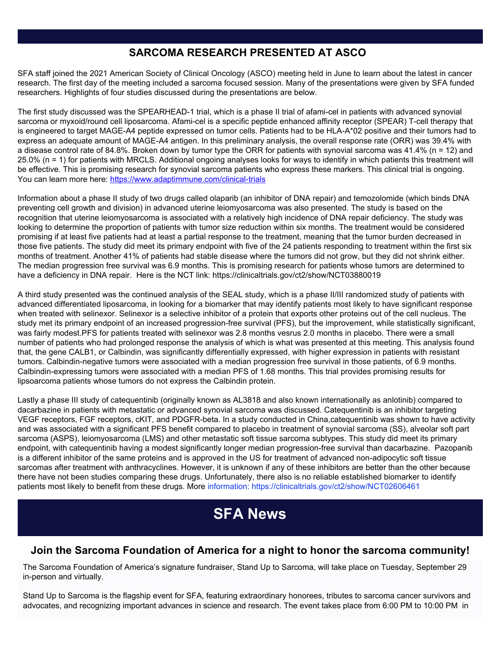#### **SARCOMA RESEARCH PRESENTED AT ASCO**

SFA staff joined the 2021 American Society of Clinical Oncology (ASCO) meeting held in June to learn about the latest in cancer research. The first day of the meeting included a sarcoma focused session. Many of the presentations were given by SFA funded researchers. Highlights of four studies discussed during the presentations are below.

The first study discussed was the SPEARHEAD-1 trial, which is a phase II trial of afami-cel in patients with advanced synovial sarcoma or myxoid/round cell liposarcoma. Afami-cel is a specific peptide enhanced affinity receptor (SPEAR) T-cell therapy that is engineered to target MAGE-A4 peptide expressed on tumor cells. Patients had to be HLA-A\*02 positive and their tumors had to express an adequate amount of MAGE-A4 antigen. In this preliminary analysis, the overall response rate (ORR) was 39.4% with a disease control rate of 84.8%. Broken down by tumor type the ORR for patients with synovial sarcoma was 41.4% (n = 12) and 25.0% (n = 1) for patients with MRCLS. Additional ongoing analyses looks for ways to identify in which patients this treatment will be effective. This is promising research for synovial sarcoma patients who express these markers. This clinical trial is ongoing. You can learn more here: https://www.adaptimmune.com/clinical-trials

Information about a phase II study of two drugs called olaparib (an inhibitor of DNA repair) and temozolomide (which binds DNA preventing cell growth and division) in advanced uterine leiomyosarcoma was also presented. The study is based on the recognition that uterine leiomyosarcoma is associated with a relatively high incidence of DNA repair deficiency. The study was looking to determine the proportion of patients with tumor size reduction within six months. The treatment would be considered promising if at least five patients had at least a partial response to the treatment, meaning that the tumor burden decreased in those five patients. The study did meet its primary endpoint with five of the 24 patients responding to treatment within the first six months of treatment. Another 41% of patients had stable disease where the tumors did not grow, but they did not shrink either. The median progression free survival was 6.9 months. This is promising research for patients whose tumors are determined to have a deficiency in DNA repair. Here is the NCT link: https://clinicaltrials.gov/ct2/show/NCT03880019

A third study presented was the continued analysis of the SEAL study, which is a phase II/III randomized study of patients with advanced differentiated liposarcoma, in looking for a biomarker that may identify patients most likely to have significant response when treated with selinexor. Selinexor is a selective inhibitor of a protein that exports other proteins out of the cell nucleus. The study met its primary endpoint of an increased progression-free survival (PFS), but the improvement, while statistically significant, was fairly modest.PFS for patients treated with selinexor was 2.8 months vesrus 2.0 months in placebo. There were a small number of patients who had prolonged response the analysis of which is what was presented at this meeting. This analysis found that, the gene CALB1, or Calbindin, was significantly differentially expressed, with higher expression in patients with resistant tumors. Calbindin-negative tumors were associated with a median progression free survival in those patients, of 6.9 months. Calbindin-expressing tumors were associated with a median PFS of 1.68 months. This trial provides promising results for lipsoarcoma patients whose tumors do not express the Calbindin protein.

Lastly a phase III study of catequentinib (originally known as AL3818 and also known internationally as anlotinib) compared to dacarbazine in patients with metastatic or advanced synovial sarcoma was discussed. Catequentinib is an inhibitor targeting VEGF receptors, FGF receptors, cKIT, and PDGFR-beta. In a study conducted in China,catequentinib was shown to have activity and was associated with a significant PFS benefit compared to placebo in treatment of synovial sarcoma (SS), alveolar soft part sarcoma (ASPS), leiomyosarcoma (LMS) and other metastatic soft tissue sarcoma subtypes. This study did meet its primary endpoint, with catequentinib having a modest significantly longer median progression-free survival than dacarbazine. Pazopanib is a different inhibitor of the same proteins and is approved in the US for treatment of advanced non-adipocytic soft tissue sarcomas after treatment with anthracyclines. However, it is unknown if any of these inhibitors are better than the other because there have not been studies comparing these drugs. Unfortunately, there also is no reliable established biomarker to identify patients most likely to benefit from these drugs. More information: https://clinicaltrials.gov/ct2/show/NCT02606461

## **SFA News**

#### **Join the Sarcoma Foundation of America for a night to honor the sarcoma community!**

The Sarcoma Foundation of America's signature fundraiser, Stand Up to Sarcoma, will take place on Tuesday, September 29 in-person and virtually.

Stand Up to Sarcoma is the flagship event for SFA, featuring extraordinary honorees, tributes to sarcoma cancer survivors and advocates, and recognizing important advances in science and research. The event takes place from 6:00 PM to 10:00 PM in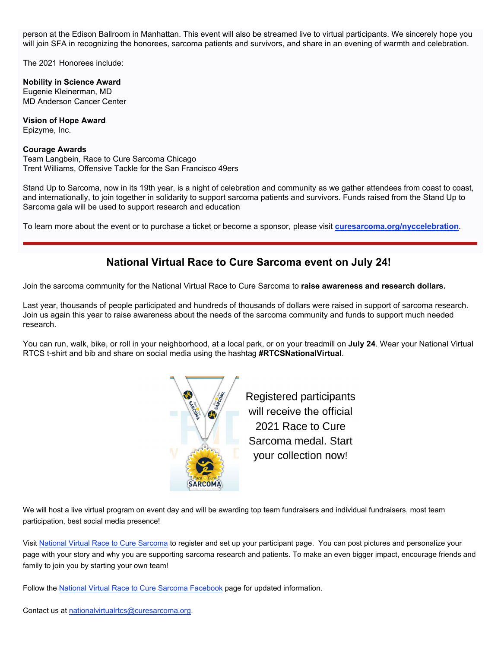person at the Edison Ballroom in Manhattan. This event will also be streamed live to virtual participants. We sincerely hope you will join SFA in recognizing the honorees, sarcoma patients and survivors, and share in an evening of warmth and celebration.

The 2021 Honorees include:

**Nobility in Science Award** Eugenie Kleinerman, MD MD Anderson Cancer Center

**Vision of Hope Award** Epizyme, Inc.

#### **Courage Awards**

Team Langbein, Race to Cure Sarcoma Chicago Trent Williams, Offensive Tackle for the San Francisco 49ers

Stand Up to Sarcoma, now in its 19th year, is a night of celebration and community as we gather attendees from coast to coast, and internationally, to join together in solidarity to support sarcoma patients and survivors. Funds raised from the Stand Up to Sarcoma gala will be used to support research and education

To learn more about the event or to purchase a ticket or become a sponsor, please visit **curesarcoma.org/nyccelebration**.

#### **National Virtual Race to Cure Sarcoma event on July 24!**

Join the sarcoma community for the National Virtual Race to Cure Sarcoma to **raise awareness and research dollars.** 

Last year, thousands of people participated and hundreds of thousands of dollars were raised in support of sarcoma research. Join us again this year to raise awareness about the needs of the sarcoma community and funds to support much needed research.

You can run, walk, bike, or roll in your neighborhood, at a local park, or on your treadmill on **July 24**. Wear your National Virtual RTCS t-shirt and bib and share on social media using the hashtag **#RTCSNationalVirtual**.



Registered participants will receive the official 2021 Race to Cure Sarcoma medal. Start your collection now!

We will host a live virtual program on event day and will be awarding top team fundraisers and individual fundraisers, most team participation, best social media presence!

Visit National Virtual Race to Cure Sarcoma to register and set up your participant page. You can post pictures and personalize your page with your story and why you are supporting sarcoma research and patients. To make an even bigger impact, encourage friends and family to join you by starting your own team!

Follow the National Virtual Race to Cure Sarcoma Facebook page for updated information.

Contact us at nationalvirtualrtcs@curesarcoma.org.